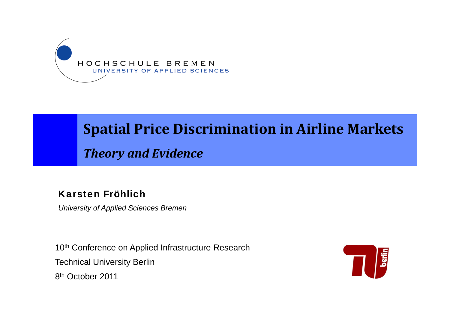

#### **Spatial Price Discrimination in Airline Markets**

*Theory and Evidence*

#### Karsten Fröhlich

*University of Applied Sciences Bremen*

10<sup>th</sup> Conference on Applied Infrastructure Research Technical University Berlin 8<sup>th</sup> October 2011

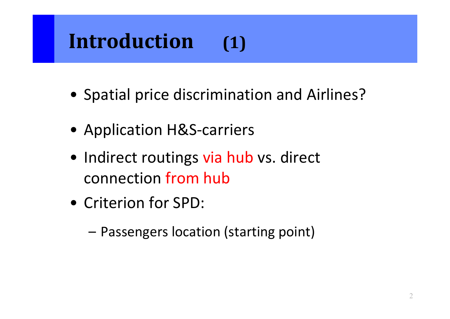#### **Introduction(1)**

- Spatial price discrimination and Airlines?
- Application H&S-carriers
- Indirect routings via hub vs. direct connection from hub
- Criterion for SPD:
	- Passengers location (starting point)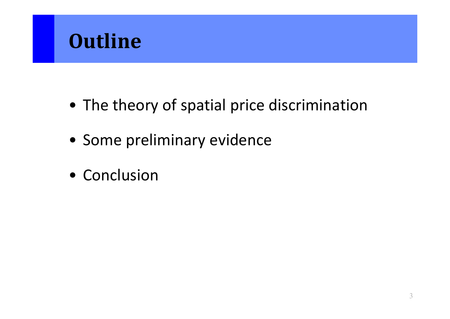

- The theory of spatial price discrimination
- Some preliminary evidence
- Conclusion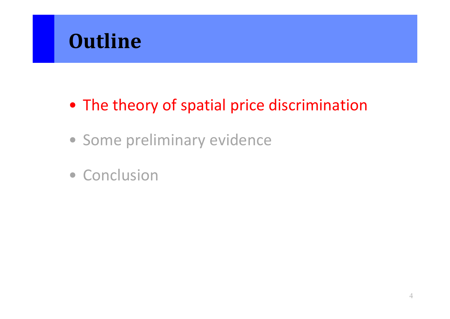

#### • The theory of spatial price discrimination

- Some preliminary evidence
- Conclusion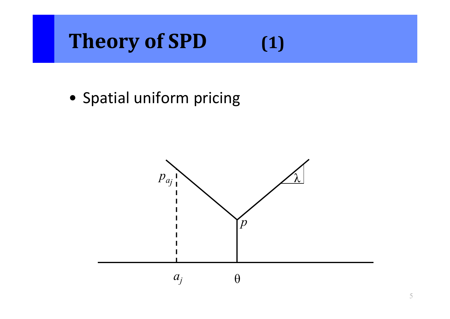# **Theory of SPD (1)**

• Spatial uniform pricing

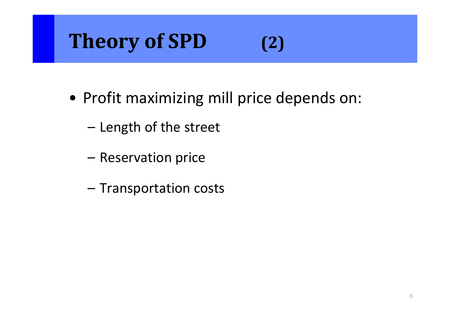## **Theory of SPD (2)**

- Profit maximizing mill price depends on:
	- –Length of the street
	- Reservation price
	- –Transportation costs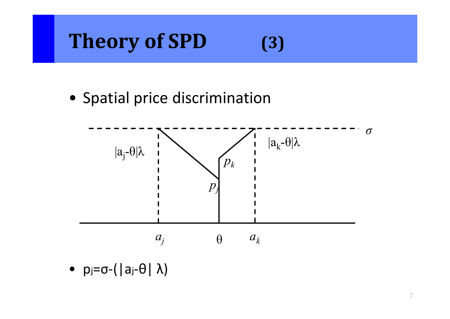# **Theory of SPD (3)**

• Spatial price discrimination



• p<sub>j</sub>=σ-(|a<sub>j</sub>-θ|λ)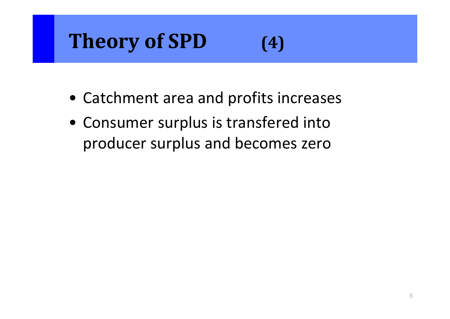## **Theory of SPD (4)**

- Catchment area and profits increases
- Consumer surplus is transfered into producer surplus and becomes zero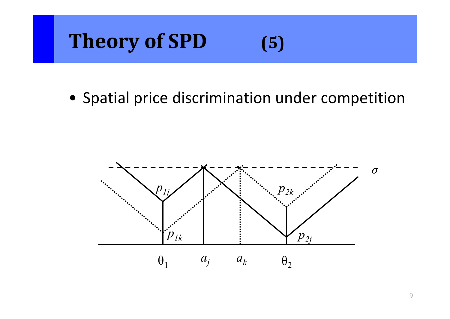## **Theory of SPD (5)**

• Spatial price discrimination under competition

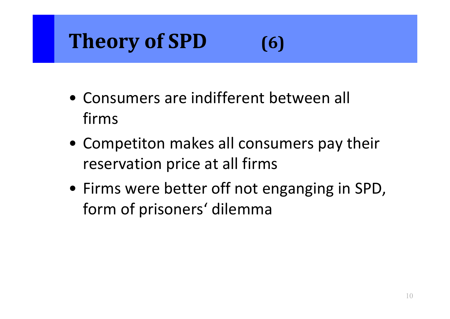# **Theory of SPD (6)**

- Consumers are indifferent between all firms
- Competiton makes all consumers pay their reservation price at all firms
- Firms were better off not enganging in SPD, form of prisoners' dilemma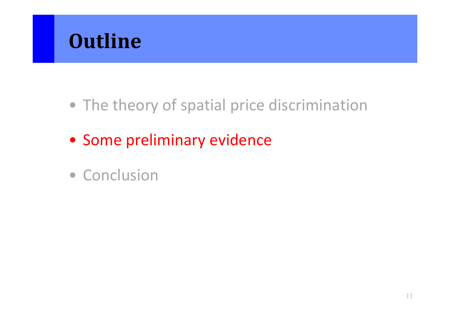

- The theory of spatial price discrimination
- Some preliminary evidence
- Conclusion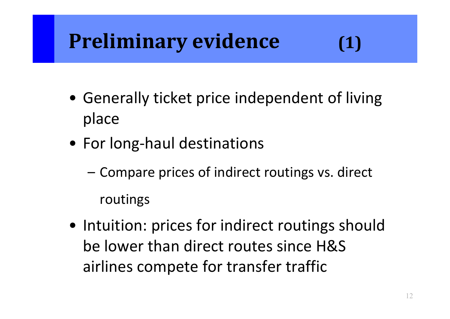# **Preliminary evidence (1)**

- Generally ticket price independent of living place
- For long‐haul destinations
	- – Compare prices of indirect routings vs. direct routings
- Intuition: prices for indirect routings should be lower than direct routes since H&Sairlines compete for transfer traffic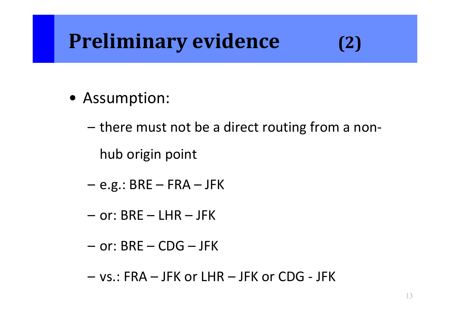#### **Preliminary evidence (2)**

- Assumption:
	- there must not be <sup>a</sup> direct routing from <sup>a</sup> non‐ hub origin point
	- –e.g.: BRE – FRA – JFK
	- or: BRE LHR JFK
	- or: BRE CDG JFK
	- vs.: FRA JFK or LHR JFK or CDG ‐ JFK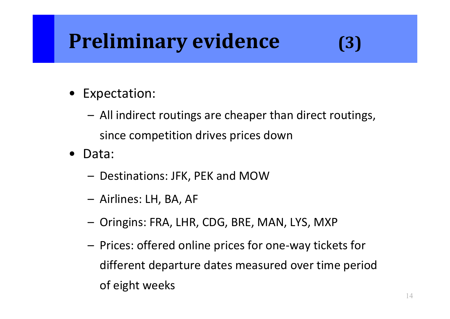#### **Preliminary evidence (3)**

- $\bullet$  Expectation:
	- All indirect routings are cheaper than direct routings, since competition drives prices down
- $\bullet$  Data:
	- Destinations: JFK, PEK and MOW
	- Airlines: LH, BA, AF
	- Oringins: FRA, LHR, CDG, BRE, MAN, LYS, MXP
	- Prices: offered online prices for one‐way tickets for different departure dates measured over time period of eight weeks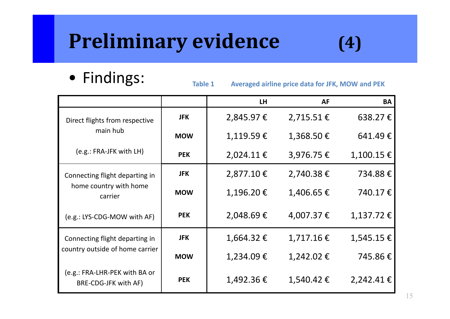## **Preliminary evidence (4)**

• Findings:

**Table**

**1 Averaged airline price data for JFK, MOW and PEK**

|                                                       |            | <b>LH</b> | <b>AF</b>      | <b>BA</b>      |
|-------------------------------------------------------|------------|-----------|----------------|----------------|
| Direct flights from respective                        | <b>JFK</b> | 2,845.97€ | $2,715.51 \in$ | 638.27€        |
| main hub                                              | <b>MOW</b> | 1,119.59€ | 1,368.50€      | 641.49€        |
| (e.g.: FRA-JFK with LH)                               | <b>PEK</b> | 2,024.11€ | 3,976.75€      | $1,100.15 \in$ |
| Connecting flight departing in                        | <b>JFK</b> | 2,877.10€ | 2,740.38€      | 734.88€        |
| home country with home<br>carrier                     | <b>MOW</b> | 1,196.20€ | 1,406.65 €     | 740.17€        |
| (e.g.: LYS-CDG-MOW with AF)                           | <b>PEK</b> | 2,048.69€ | 4,007.37 €     | $1,137.72$ €   |
| Connecting flight departing in                        | <b>JFK</b> | 1,664.32€ | 1,717.16€      | $1,545.15 \in$ |
| country outside of home carrier                       | <b>MOW</b> | 1,234.09€ | 1,242.02€      | 745.86€        |
| (e.g.: FRA-LHR-PEK with BA or<br>BRE-CDG-JFK with AF) | <b>PEK</b> | 1,492.36€ | 1,540.42€      | $2,242.41 \in$ |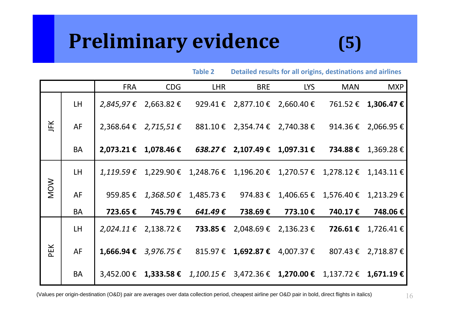#### **Preliminary evidence (5)**

**Table**

| <b>Table 2</b> |           |            |            | Detailed results for all origins, destinations and airlines |                                                                                         |            |            |                     |
|----------------|-----------|------------|------------|-------------------------------------------------------------|-----------------------------------------------------------------------------------------|------------|------------|---------------------|
|                |           | <b>FRA</b> | <b>CDG</b> | <b>LHR</b>                                                  | <b>BRE</b>                                                                              | <b>LYS</b> | <b>MAN</b> | <b>MXP</b>          |
| JFK            | LH.       |            |            |                                                             | $2,845,97 \t\epsilon$ 2,663.82 € 929.41 € 2,877.10 € 2,660.40 €                         |            |            | 761.52 € 1,306.47 € |
|                | AF        |            |            |                                                             | 2,368.64 € 2,715,51 € 881.10 € 2,354.74 € 2,740.38 €                                    |            |            | 914.36 € 2,066.95 € |
|                | <b>BA</b> |            |            |                                                             | 2,073.21 € 1,078.46 € 638.27 € 2,107.49 € 1,097.31 €                                    |            |            | 734.88 € 1,369.28 € |
| <b>MOW</b>     | LH.       |            |            |                                                             | $1,119.59 \t\epsilon$ 1,229.90 € 1,248.76 € 1,196.20 € 1,270.57 € 1,278.12 € 1,143.11 € |            |            |                     |
|                | AF        |            |            |                                                             | 959.85 € $1,368.50$ € $1,485.73$ € 974.83 € 1,406.65 € 1,576.40 € 1,213.29 €            |            |            |                     |
|                | <b>BA</b> | 723.65 €   | 745.79€    | 641.49 €                                                    | 738.69€                                                                                 | 773.10€    | 740.17 €   | 748.06€             |
| PEK            | <b>LH</b> |            |            |                                                             | 2,024.11 € 2,138.72 € <b>733.85 €</b> 2,048.69 € 2,136.23 €                             |            |            | 726.61 € 1,726.41 € |
|                | <b>AF</b> |            |            |                                                             | 1,666.94 € 3,976.75 € 815.97 € 1,692.87 € 4,007.37 € 807.43 € 2,718.87 €                |            |            |                     |
|                | <b>BA</b> |            |            |                                                             | 3,452.00 € 1,333.58 € 1,100.15 € 3,472.36 € 1,270.00 € 1,137.72 € 1,671.19 €            |            |            |                     |

(Values per origin-destination (O&D) pair are averages over data collection period, cheapest airline per O&D pair in bold, direct flights in italics)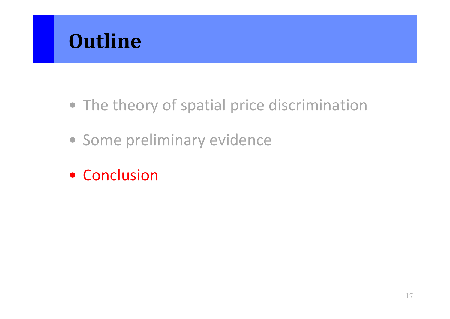

- The theory of spatial price discrimination
- Some preliminary evidence
- Conclusion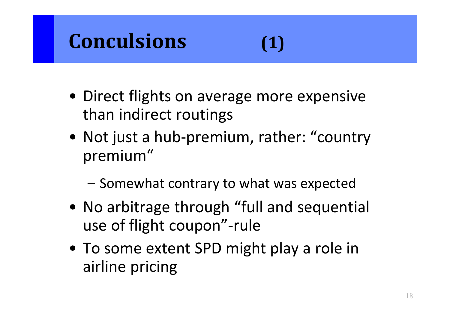#### **Conculsions**

- Direct flights on average more expensive than indirect routings
- Not just <sup>a</sup> hub‐premium, rather: "country premium"
	- –Somewhat contrary to what was expected
- No arbitrage through "full and sequential use of flight coupon"‐rule
- To some extent SPD might play <sup>a</sup> role in airline pricing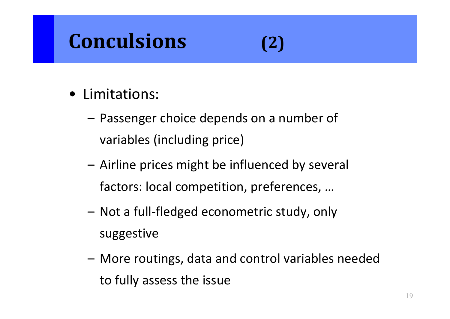#### **Conculsions**

#### **(2)**

- Limitations:
	- Passenger choice depends on <sup>a</sup> number of variables (including price)
	- Airline prices might be influenced by several factors: local competition, preferences, …
	- Not a full‐fledged econometric study, only suggestive
	- More routings, data and control variables needed to fully assess the issue